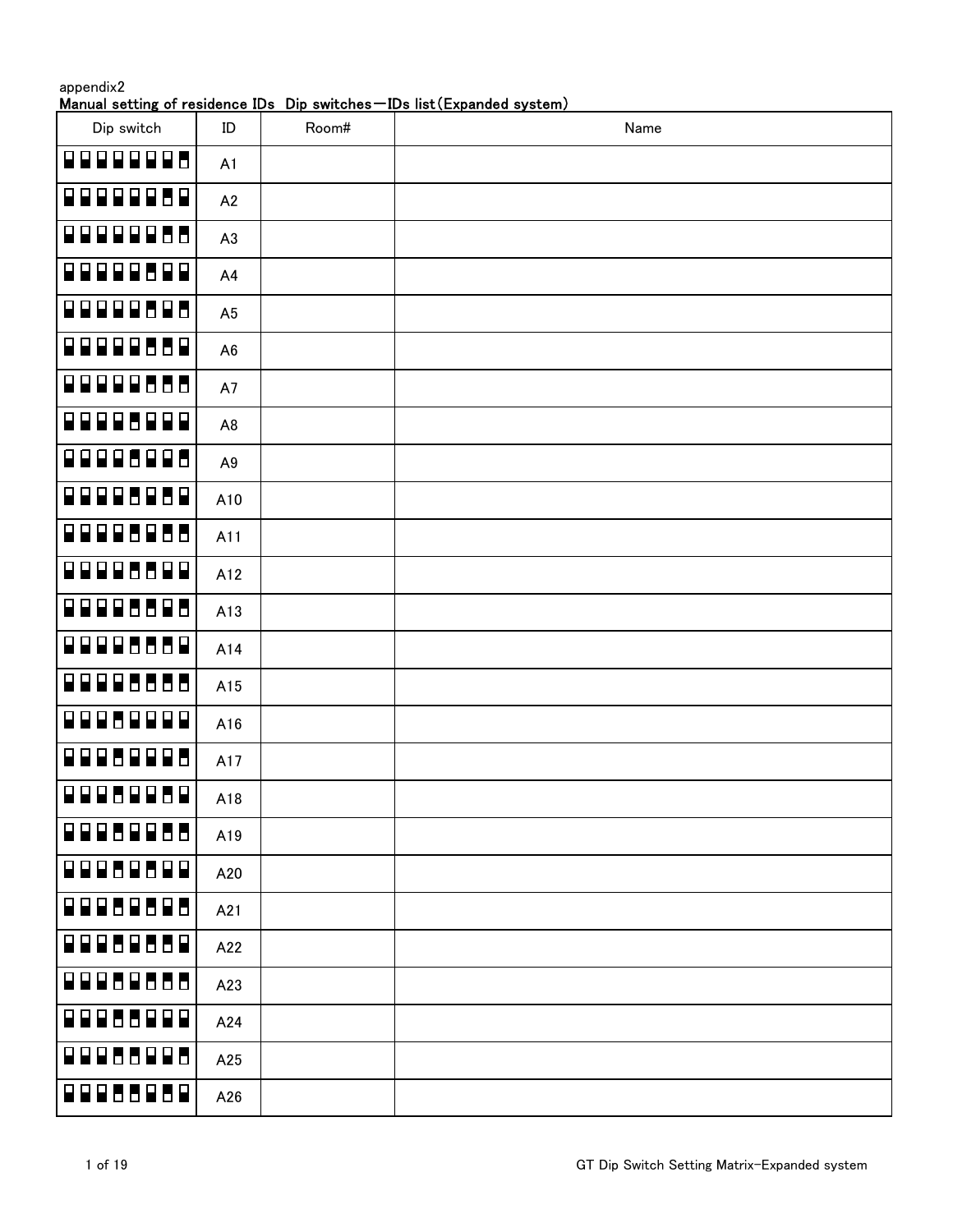Manual setting of residence IDs Dip switches-IDs list (Expanded system)

| Dip switch                       | ID             | Room# | Name |
|----------------------------------|----------------|-------|------|
| 9999998                          | A1             |       |      |
| 999998<br>$\Box$                 | A2             |       |      |
| 99999888                         | A3             |       |      |
| 199999899                        | A4             |       |      |
| 00000000                         | A <sub>5</sub> |       |      |
| 99999569                         | A <sub>6</sub> |       |      |
| 99999666                         | A7             |       |      |
| <b>QQQQ6QQQ</b>                  | A <sub>8</sub> |       |      |
| 99995995                         | A9             |       |      |
| 99995959                         | A10            |       |      |
| <u>. 88886866</u>                | A11            |       |      |
| 99995599                         | A12            |       |      |
| 8888688                          | A13            |       |      |
| 88885558                         | A14            |       |      |
| 8888666                          | A15            |       |      |
| 9998<br>$\Box$<br>$\blacksquare$ | A16            |       |      |
| 88<br>$\blacksquare$<br>9998     | A17            |       |      |
| 00080080                         | A18            |       |      |
| <b>QQQ6QQ88</b>                  | A19            |       |      |
| 00000000                         | A20            |       |      |
| 199969698                        | A21            |       |      |
| 199969689                        | A22            |       |      |
| 199989888                        | A23            |       |      |
| 199986999                        | A24            |       |      |
| 199986998                        | A25            |       |      |
| 00086080                         | A26            |       |      |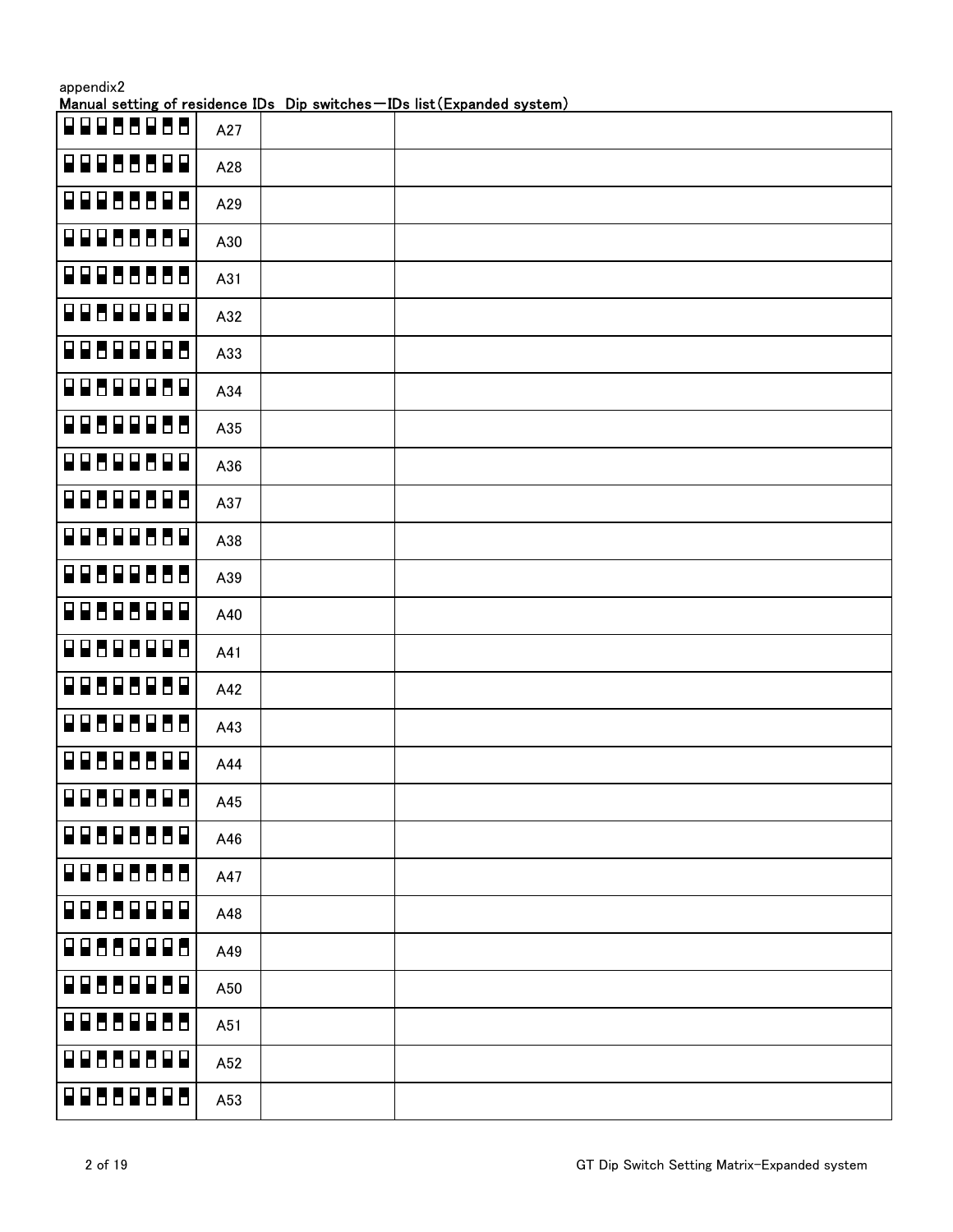|                                                 |     | Manual setting of residence IDs Dip switches-IDs list (Expanded system) |
|-------------------------------------------------|-----|-------------------------------------------------------------------------|
| 88866866                                        | A27 |                                                                         |
| 88855588                                        | A28 |                                                                         |
| 8886688                                         | A29 |                                                                         |
| 88855558                                        | A30 |                                                                         |
| 88888888                                        | A31 |                                                                         |
| 88688888                                        | A32 |                                                                         |
| 88688888                                        | A33 |                                                                         |
| <b>BOBDROBO</b>                                 | A34 |                                                                         |
| 88688866                                        | A35 |                                                                         |
| 88688688                                        | A36 |                                                                         |
| 88688686                                        | A37 |                                                                         |
| <b>BBBBBBBB</b>                                 | A38 |                                                                         |
| 8888888                                         | A39 |                                                                         |
| 88686888                                        | A40 |                                                                         |
| 88888888                                        | A41 |                                                                         |
| 88885888                                        | A42 |                                                                         |
| 88888888                                        | A43 |                                                                         |
| <b>PB</b><br>$\blacksquare$<br>REB<br><b>HP</b> | A44 |                                                                         |
| <b>BBBBBBBB</b>                                 | A45 |                                                                         |
| 88888888                                        | A46 |                                                                         |
| 8888888                                         | A47 |                                                                         |
| 89999<br>886                                    | A48 |                                                                         |
| 88668886                                        | A49 |                                                                         |
| 88668868                                        | A50 |                                                                         |
| 8888888                                         | A51 |                                                                         |
| 89899<br>886                                    | A52 |                                                                         |
| 88888888                                        | A53 |                                                                         |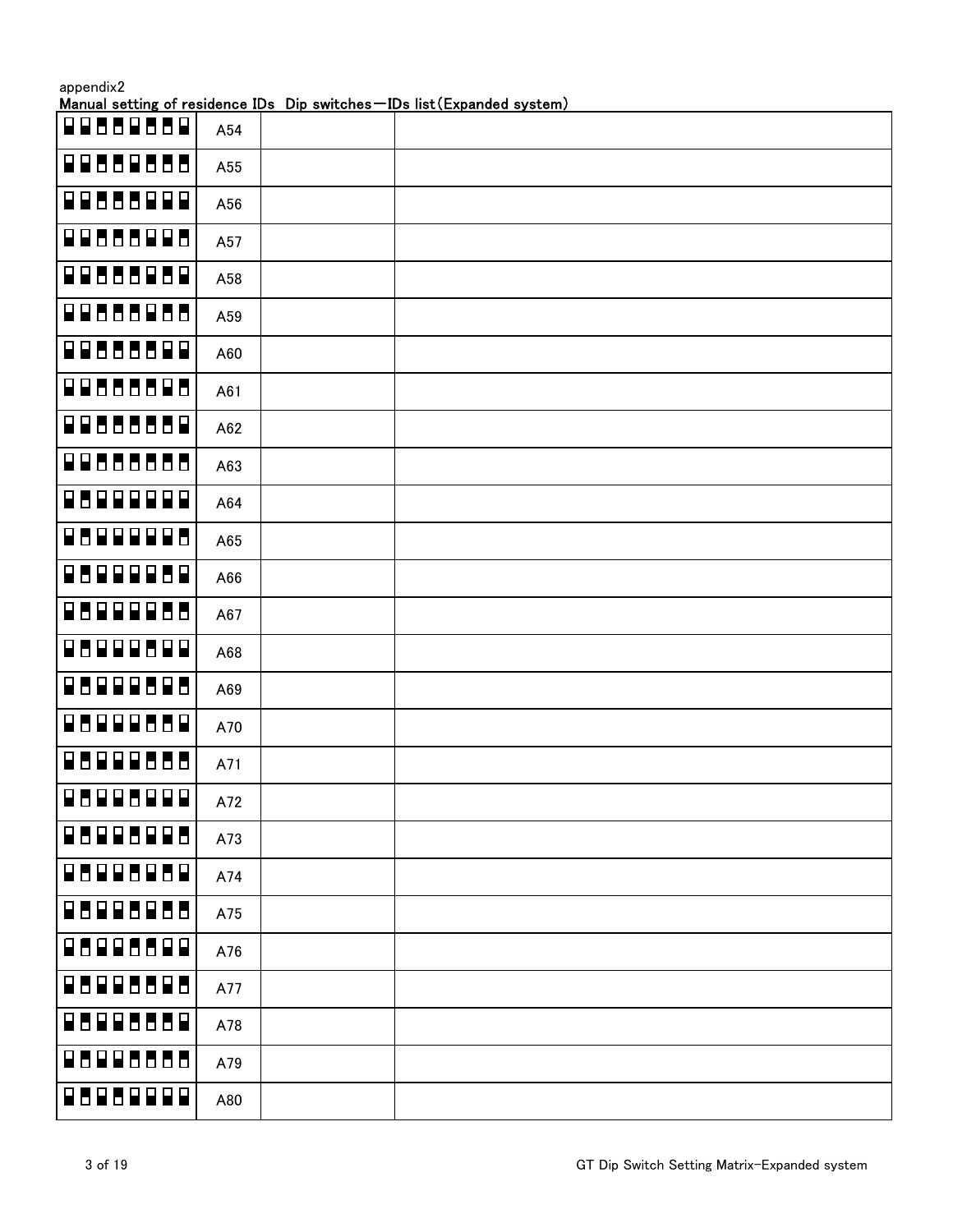| appendix2      |     | Manual setting of residence IDs Dip switches-IDs list (Expanded system) |
|----------------|-----|-------------------------------------------------------------------------|
| 996<br>88888   | A54 |                                                                         |
| 88888888       | A55 |                                                                         |
| 8888888        | A56 |                                                                         |
| 8888888        | A57 |                                                                         |
| 8888888        | A58 |                                                                         |
| 8888888        | A59 |                                                                         |
| 8888888        | A60 |                                                                         |
| 88888888       | A61 |                                                                         |
| 88888888       | A62 |                                                                         |
| 8888888        | A63 |                                                                         |
| 8888888        | A64 |                                                                         |
| 8888888        | A65 |                                                                         |
| 88888888       | A66 |                                                                         |
| 8888888        | A67 |                                                                         |
| 8888888        | A68 |                                                                         |
| 88888888       | A69 |                                                                         |
| 8888888        | A70 |                                                                         |
| 8888888        | A71 |                                                                         |
| 8888888        | A72 |                                                                         |
| 8888888        | A73 |                                                                         |
| <b>BUBBEBB</b> | A74 |                                                                         |
| 8888888        | A75 |                                                                         |
| 88888888       | A76 |                                                                         |
| 88888888       | A77 |                                                                         |
| 88888888       | A78 |                                                                         |
| 88888888       | A79 |                                                                         |
| 8888888        | A80 |                                                                         |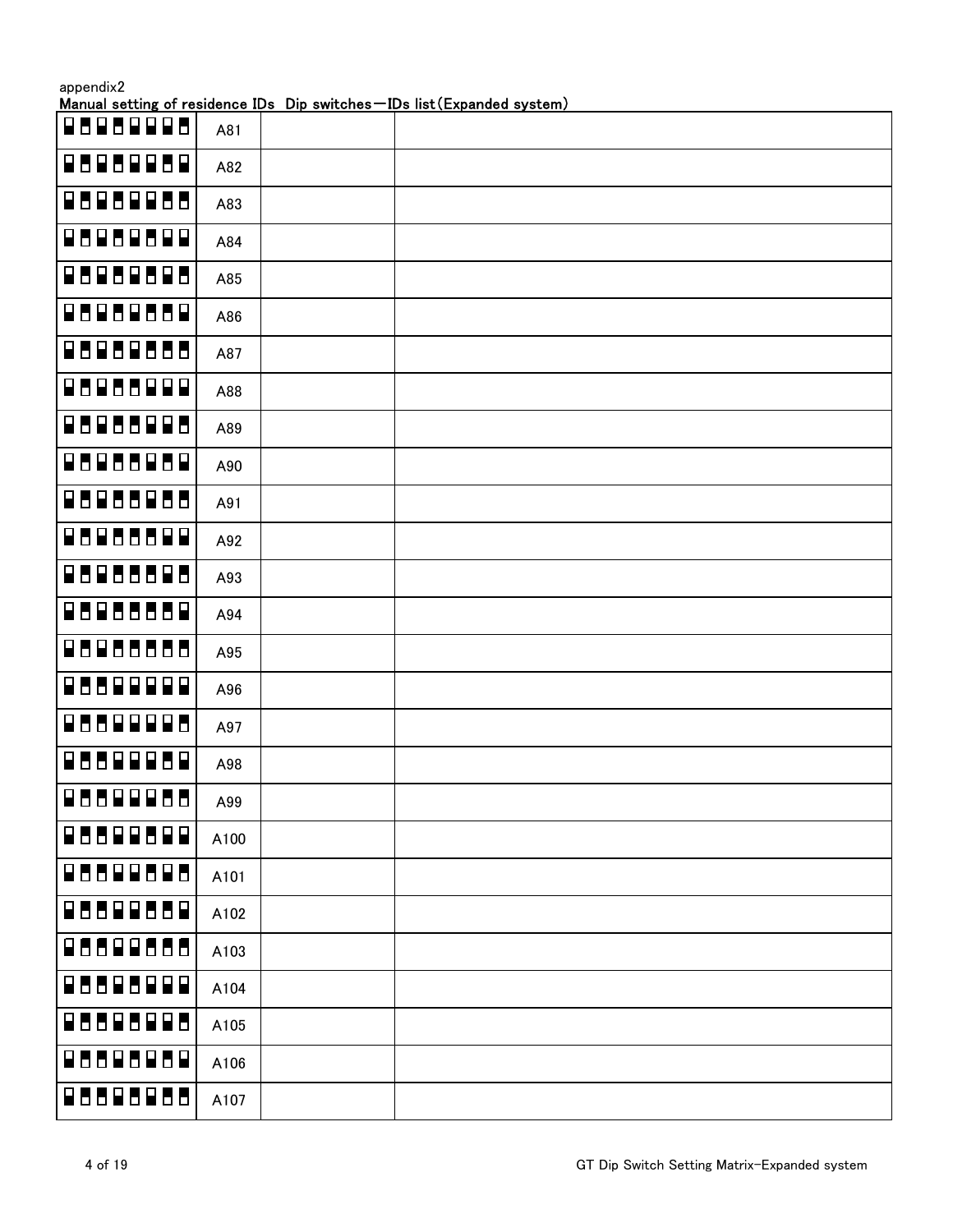|          |      | <u>Manual setting of residence IDs Dip switches – IDs list (Expanded system)</u> |
|----------|------|----------------------------------------------------------------------------------|
| 8888888  | A81  |                                                                                  |
| 88888888 | A82  |                                                                                  |
| 8888888  | A83  |                                                                                  |
| 8888888  | A84  |                                                                                  |
| 88888888 | A85  |                                                                                  |
| 8888888  | A86  |                                                                                  |
| 8888888  | A87  |                                                                                  |
| 8888888  | A88  |                                                                                  |
| 8888888  | A89  |                                                                                  |
| 88888888 | A90  |                                                                                  |
| 8888888  | A91  |                                                                                  |
| 8888888  | A92  |                                                                                  |
| 8888888  | A93  |                                                                                  |
| 88888888 | A94  |                                                                                  |
| 8888888  | A95  |                                                                                  |
| 8888888  | A96  |                                                                                  |
| 8888888  | A97  |                                                                                  |
| 8888888  | A98  |                                                                                  |
| 8888888  | A99  |                                                                                  |
| 8888888  | A100 |                                                                                  |
| 88888888 | A101 |                                                                                  |
| 88888888 | A102 |                                                                                  |
| 88888888 | A103 |                                                                                  |
| 8888888  | A104 |                                                                                  |
| 88888888 | A105 |                                                                                  |
| 8888888  | A106 |                                                                                  |
| 88888888 | A107 |                                                                                  |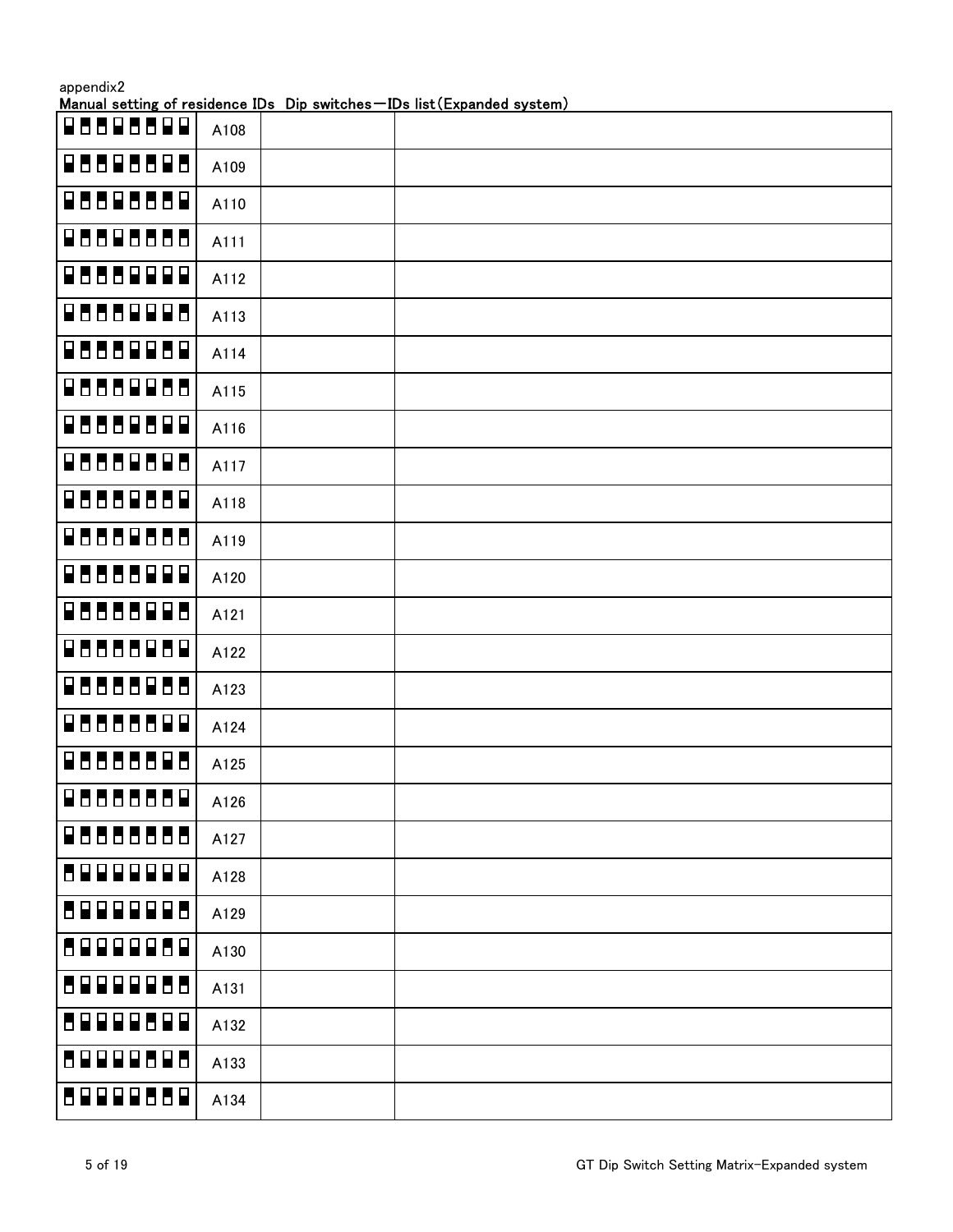|                 |      | Manual setting of residence IDs Dip switches-IDs list (Expanded system) |
|-----------------|------|-------------------------------------------------------------------------|
| $P$ 8898899     | A108 |                                                                         |
| 88888888        | A109 |                                                                         |
| 88888888        | A110 |                                                                         |
| <b>QUUQUUDU</b> | A111 |                                                                         |
| 8888888         | A112 |                                                                         |
| 8888888         | A113 |                                                                         |
| 8888888         | A114 |                                                                         |
| 8888888         | A115 |                                                                         |
| 8888888         | A116 |                                                                         |
| 88888888        | A117 |                                                                         |
| 88888888        | A118 |                                                                         |
| 88888888        | A119 |                                                                         |
| 8888888         | A120 |                                                                         |
| 88888888        | A121 |                                                                         |
| 88888888        | A122 |                                                                         |
| 8888888         | A123 |                                                                         |
| 8888888         | A124 |                                                                         |
| 886888<br>86    | A125 |                                                                         |
| 88888888        | A126 |                                                                         |
| 88888888        | A127 |                                                                         |
| 89999999        | A128 |                                                                         |
| 8999998         | A129 |                                                                         |
| 8888888         | A130 |                                                                         |
| 89999888        | A131 |                                                                         |
| 88888888        | A132 |                                                                         |
| 59999595        | A133 |                                                                         |
| 89999889        | A134 |                                                                         |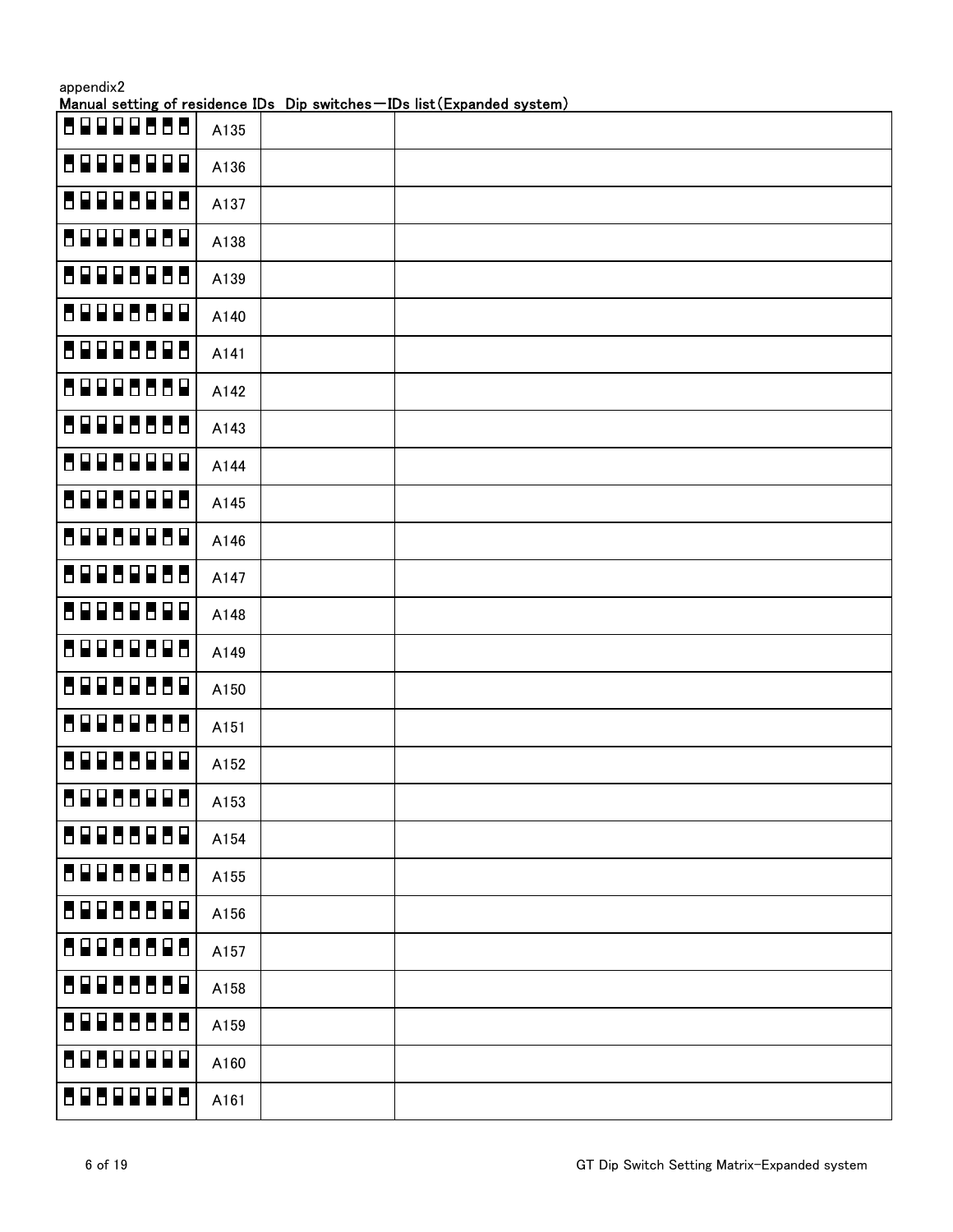|          |      | Manual setting of residence IDs Dip switches-IDs list (Expanded system) |
|----------|------|-------------------------------------------------------------------------|
| 88888888 | A135 |                                                                         |
| 89998999 | A136 |                                                                         |
| 89998998 | A137 |                                                                         |
| 89998989 | A138 |                                                                         |
| 89998988 | A139 |                                                                         |
| 89998899 | A140 |                                                                         |
| 89998898 | A141 |                                                                         |
| 89998889 | A142 |                                                                         |
| 89998888 | A143 |                                                                         |
| 8998999  | A144 |                                                                         |
| 89989988 | A145 |                                                                         |
| 89989889 | A146 |                                                                         |
| 89989888 | A147 |                                                                         |
| 89989899 | A148 |                                                                         |
| 89989888 | A149 |                                                                         |
| 89989889 | A150 |                                                                         |
| 89989888 | A151 |                                                                         |
| 89988999 | A152 |                                                                         |
| 89988998 | A153 |                                                                         |
| 89988989 | A154 |                                                                         |
| 88888888 | A155 |                                                                         |
| 89988899 | A156 |                                                                         |
| 88888888 | A157 |                                                                         |
| 88888888 | A158 |                                                                         |
| 88888888 | A159 |                                                                         |
| 89899999 | A160 |                                                                         |
| 8989998  | A161 |                                                                         |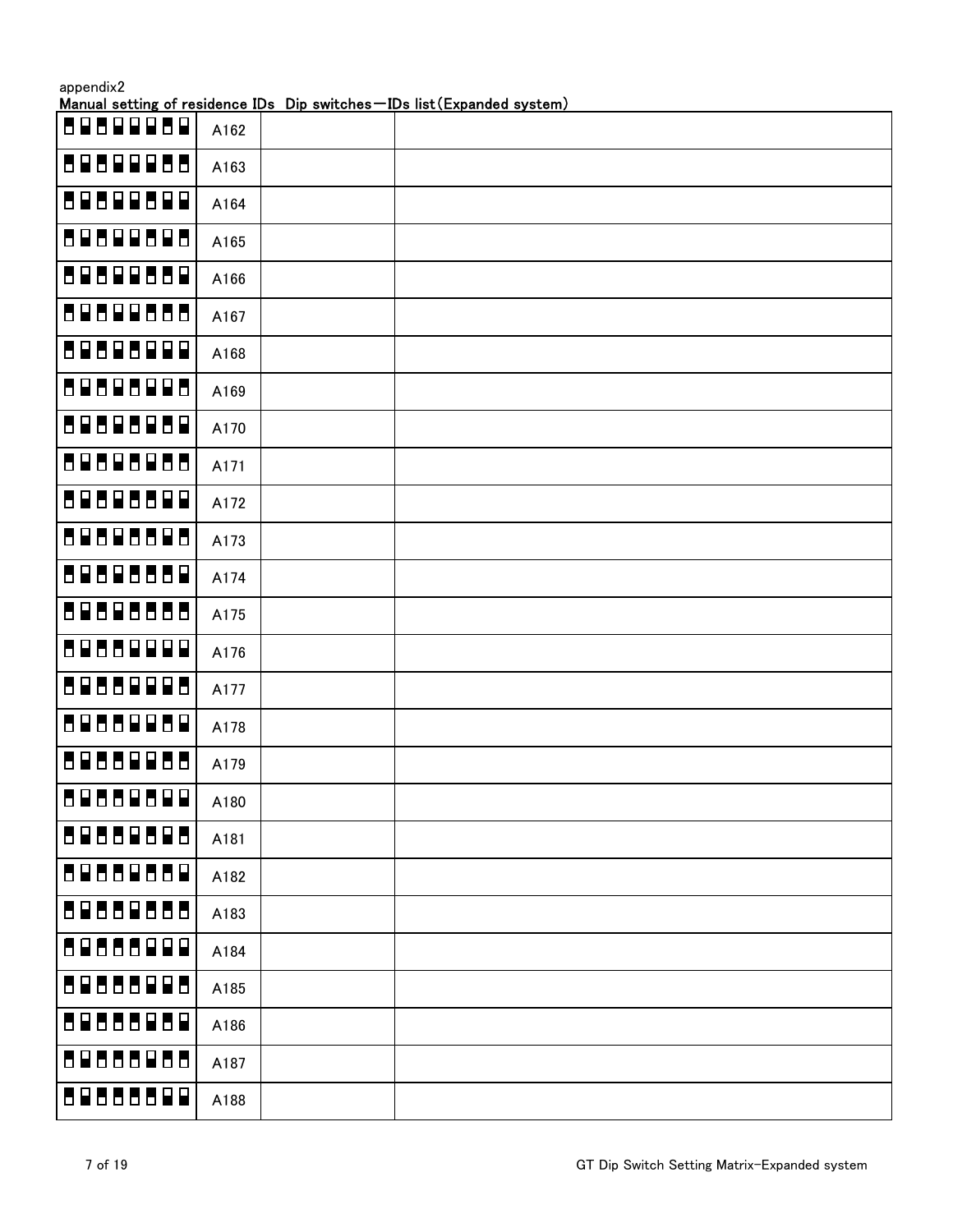|                     |      | Manual setting of residence IDs Dip switches-IDs list (Expanded system) |
|---------------------|------|-------------------------------------------------------------------------|
| 8989989             | A162 |                                                                         |
| 8080008             | A163 |                                                                         |
| 80800000            | A164 |                                                                         |
| 89899898            | A165 |                                                                         |
| 80800888            | A166 |                                                                         |
| 89899888            | A167 |                                                                         |
| 89898999            | A168 |                                                                         |
| 89898998            | A169 |                                                                         |
| 89898989            | A170 |                                                                         |
| 89898988            | A171 |                                                                         |
| 89898899            | A172 |                                                                         |
| 80808800            | A173 |                                                                         |
| 80808880            | A174 |                                                                         |
| 89898888            | A175 |                                                                         |
| 8988999             | A176 |                                                                         |
| 89888998            | A177 |                                                                         |
| 88888888            | A178 |                                                                         |
| 895<br>8866         | A179 |                                                                         |
| 89888899            | A180 |                                                                         |
| 88888888            | A181 |                                                                         |
| 89888889            | A182 |                                                                         |
| 89889888            | A183 |                                                                         |
| <b>6999</b><br>8988 | A184 |                                                                         |
| 89888998            | A185 |                                                                         |
| 80888080            | A186 |                                                                         |
| 89888988            | A187 |                                                                         |
| 89888899            | A188 |                                                                         |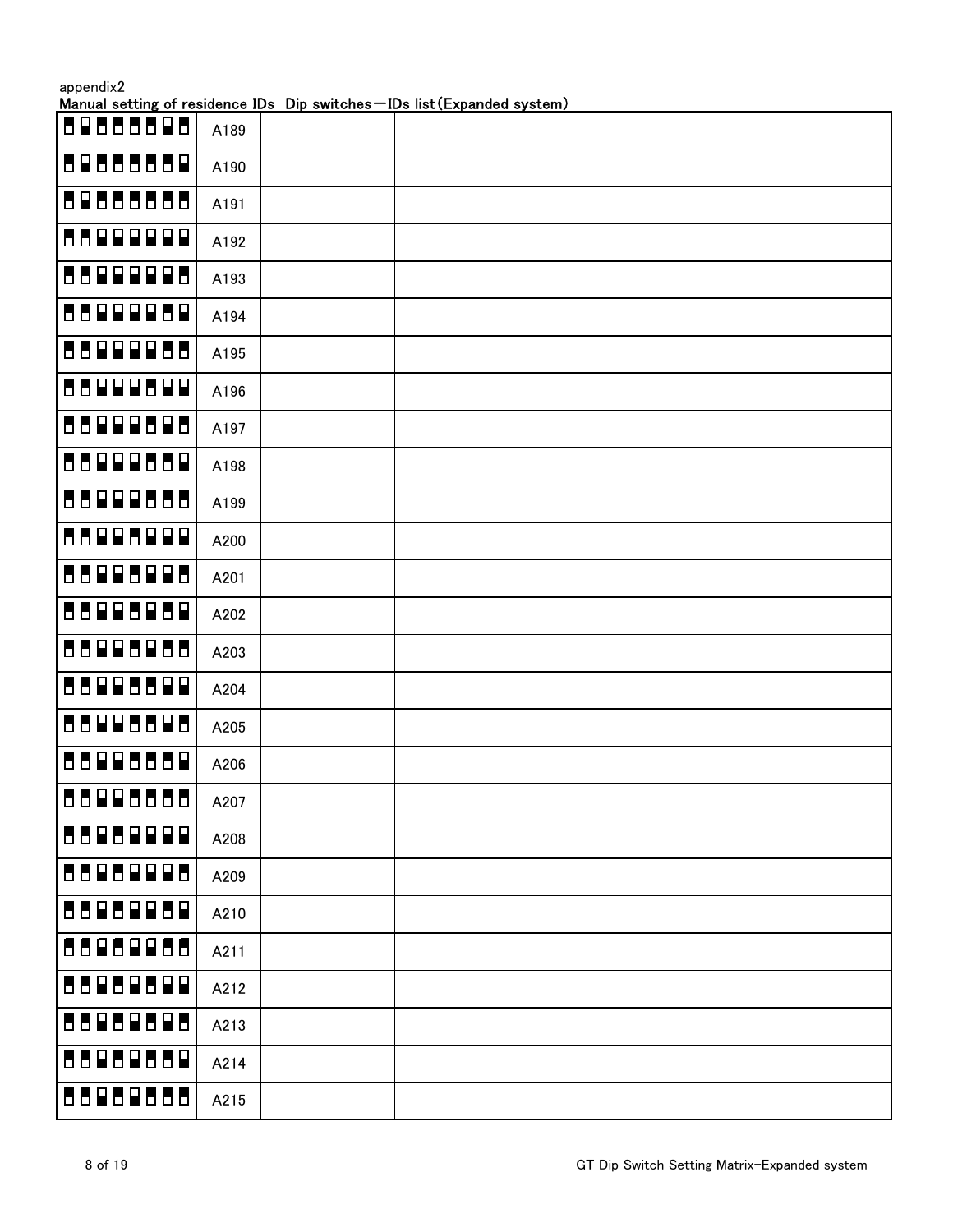| appendix2    |      | Manual setting of residence IDs Dip switches-IDs list (Expanded system) |
|--------------|------|-------------------------------------------------------------------------|
| 86898<br>888 | A189 |                                                                         |
| 88888888     | A190 |                                                                         |
| 88888888     | A191 |                                                                         |
| 8899999      | A192 |                                                                         |
| 55999985     | A193 |                                                                         |
| 8899989      | A194 |                                                                         |
| 88999888     | A195 |                                                                         |
| 88999899     | A196 |                                                                         |
| 8899988      | A197 |                                                                         |
| 8899988      | A198 |                                                                         |
| 8899988      | A199 |                                                                         |
| 88998999     | A200 |                                                                         |
| 88998988     | A201 |                                                                         |
| 88998989     | A202 |                                                                         |
| 88998988     | A203 |                                                                         |
| 88998899     | A204 |                                                                         |
| 88998898     | A205 |                                                                         |
| 88998889     | A206 |                                                                         |
| 88998888     | A207 |                                                                         |
| 8898999      | A208 |                                                                         |
| 55959985     | A209 |                                                                         |
| 8898989      | A210 |                                                                         |
| 8898988      | A211 |                                                                         |
| 55959599     | A212 |                                                                         |
| 8898998      | A213 |                                                                         |
| 8898988      | A214 |                                                                         |
| 88989888     | A215 |                                                                         |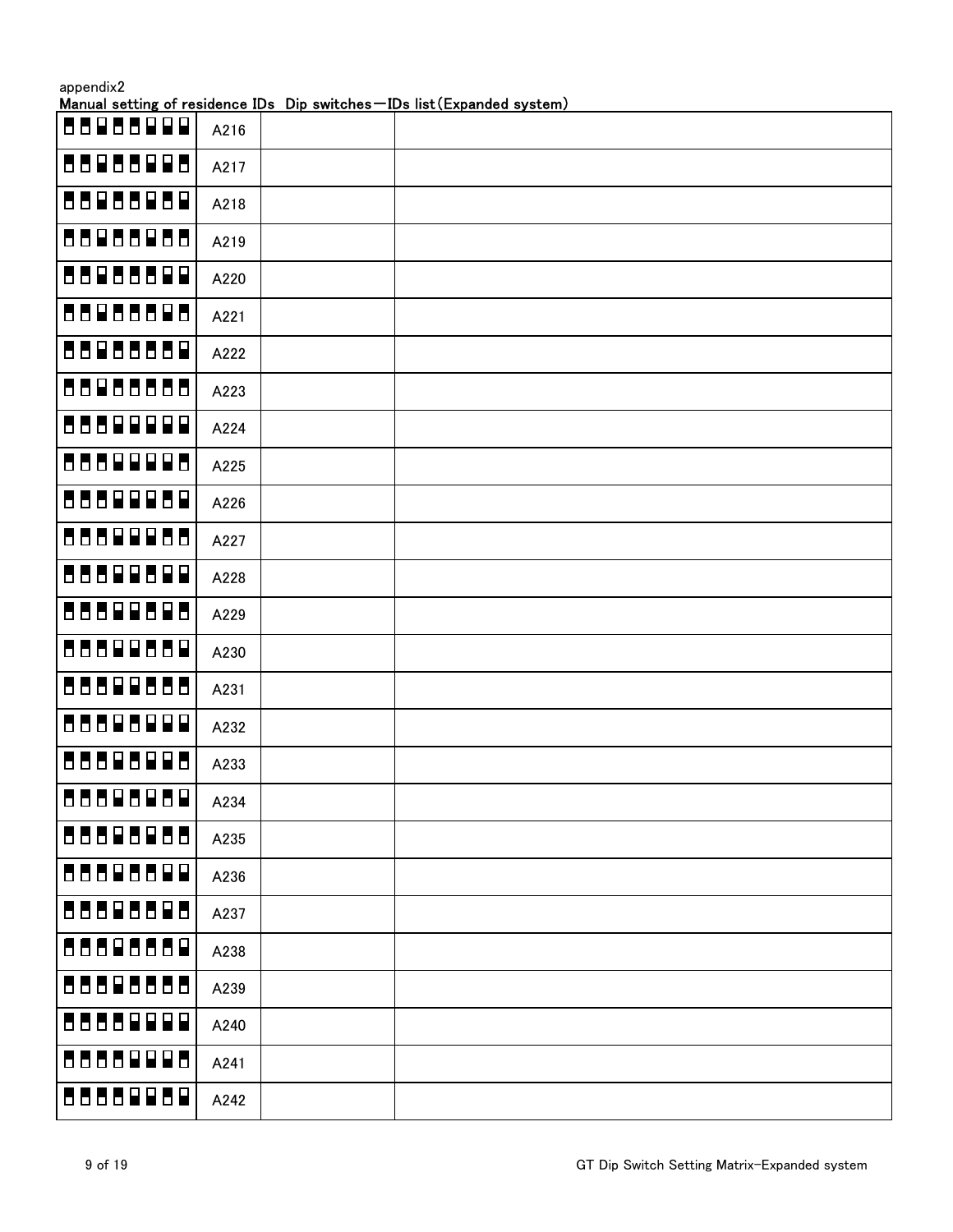| appendix2 |      | Manual setting of residence IDs Dip switches-IDs list (Expanded system) |
|-----------|------|-------------------------------------------------------------------------|
| 88988999  | A216 |                                                                         |
| 88988998  | A217 |                                                                         |
| 88988989  | A218 |                                                                         |
| 88988988  | A219 |                                                                         |
| 88988899  | A220 |                                                                         |
| 88988888  | A221 |                                                                         |
| 88988889  | A222 |                                                                         |
| 88988888  | A223 |                                                                         |
| 8889999   | A224 |                                                                         |
| 8889998   | A225 |                                                                         |
| 88899889  | A226 |                                                                         |
| 8889988   | A227 |                                                                         |
| 88899899  | A228 |                                                                         |
| 88899888  | A229 |                                                                         |
| 8889988   | A230 |                                                                         |
| 88899888  | A231 |                                                                         |
| 88888999  | A232 |                                                                         |
| 88898988  | A233 |                                                                         |
| 88888889  | A234 |                                                                         |
| 8888888   | A235 |                                                                         |
| 88888899  | A236 |                                                                         |
| 88888888  | A237 |                                                                         |
| 88888889  | A238 |                                                                         |
| 88888888  | A239 |                                                                         |
| 8888999   | A240 |                                                                         |
| 88888988  | A241 |                                                                         |
| 8888989   | A242 |                                                                         |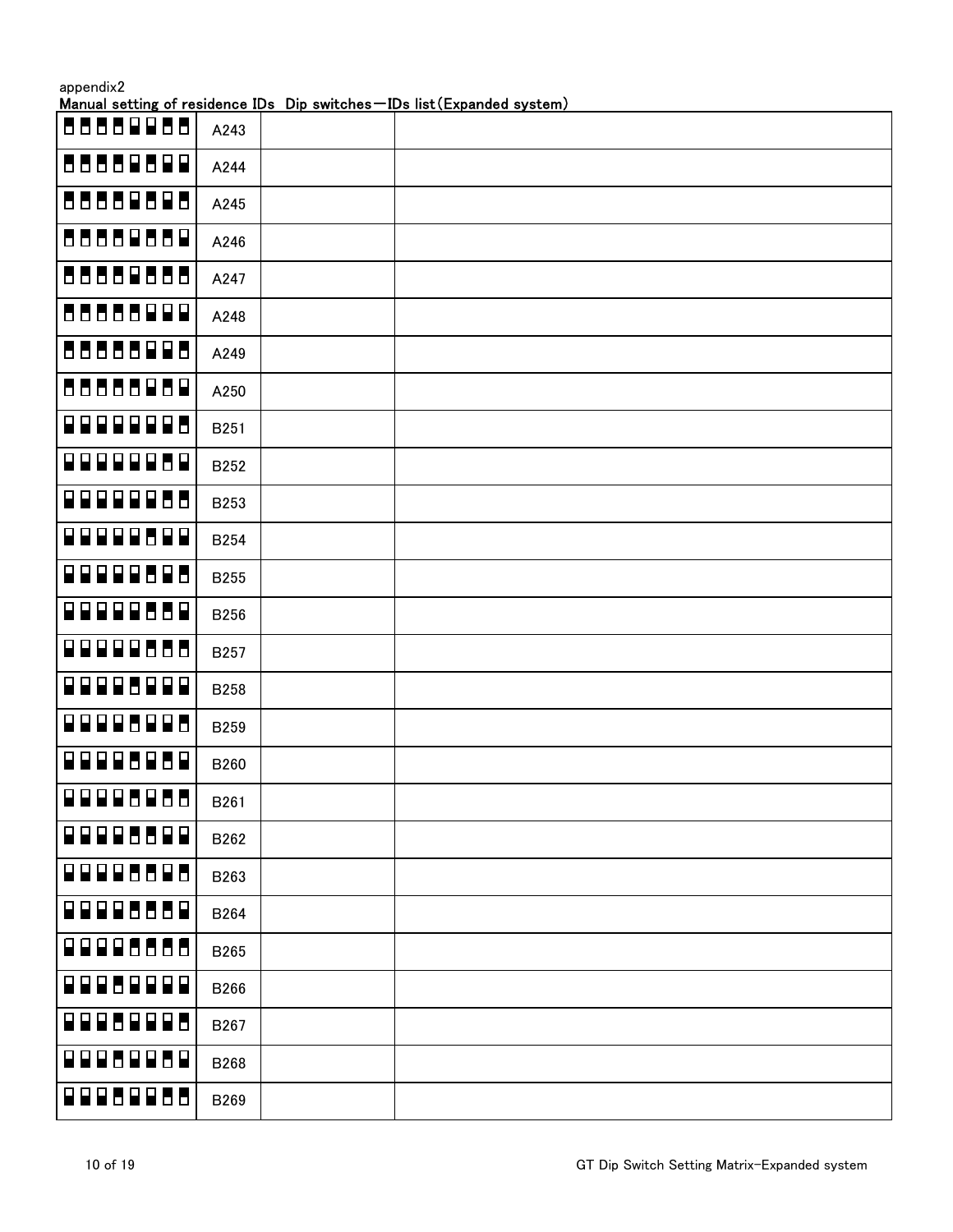|                  |             | Manual setting of residence IDs Dip switches-IDs list (Expanded system) |
|------------------|-------------|-------------------------------------------------------------------------|
| 66666866         | A243        |                                                                         |
| 88888899         | A244        |                                                                         |
| 88888888         | A245        |                                                                         |
| 88888888         | A246        |                                                                         |
| 88888888         | A247        |                                                                         |
| 88888999         | A248        |                                                                         |
| 88888988         | A249        |                                                                         |
| 88888888         | A250        |                                                                         |
| 9999998          | B251        |                                                                         |
| <b>QQQQQQBQ</b>  | <b>B252</b> |                                                                         |
| <b>QQQQQQ88</b>  | B253        |                                                                         |
| F 9 9 9 9 8 9 9  | <b>B254</b> |                                                                         |
| <b>QQQQQ88Q8</b> | <b>B255</b> |                                                                         |
| 00000000         | <b>B256</b> |                                                                         |
| <b>QOQQQUUU</b>  | B257        |                                                                         |
| 88885888         | <b>B258</b> |                                                                         |
| <b>QQQQUQQQ</b>  | B259        |                                                                         |
| 99995959         | B260        |                                                                         |
| <b>ROODBOBB</b>  | B261        |                                                                         |
| 88885588         | B262        |                                                                         |
| 88885588         | B263        |                                                                         |
| 8888558          | B264        |                                                                         |
| 8888555          | B265        |                                                                         |
| 88868888         | B266        |                                                                         |
| 88868886         | B267        |                                                                         |
| 99952959         | B268        |                                                                         |
| <b>BBBBBBB</b>   | B269        |                                                                         |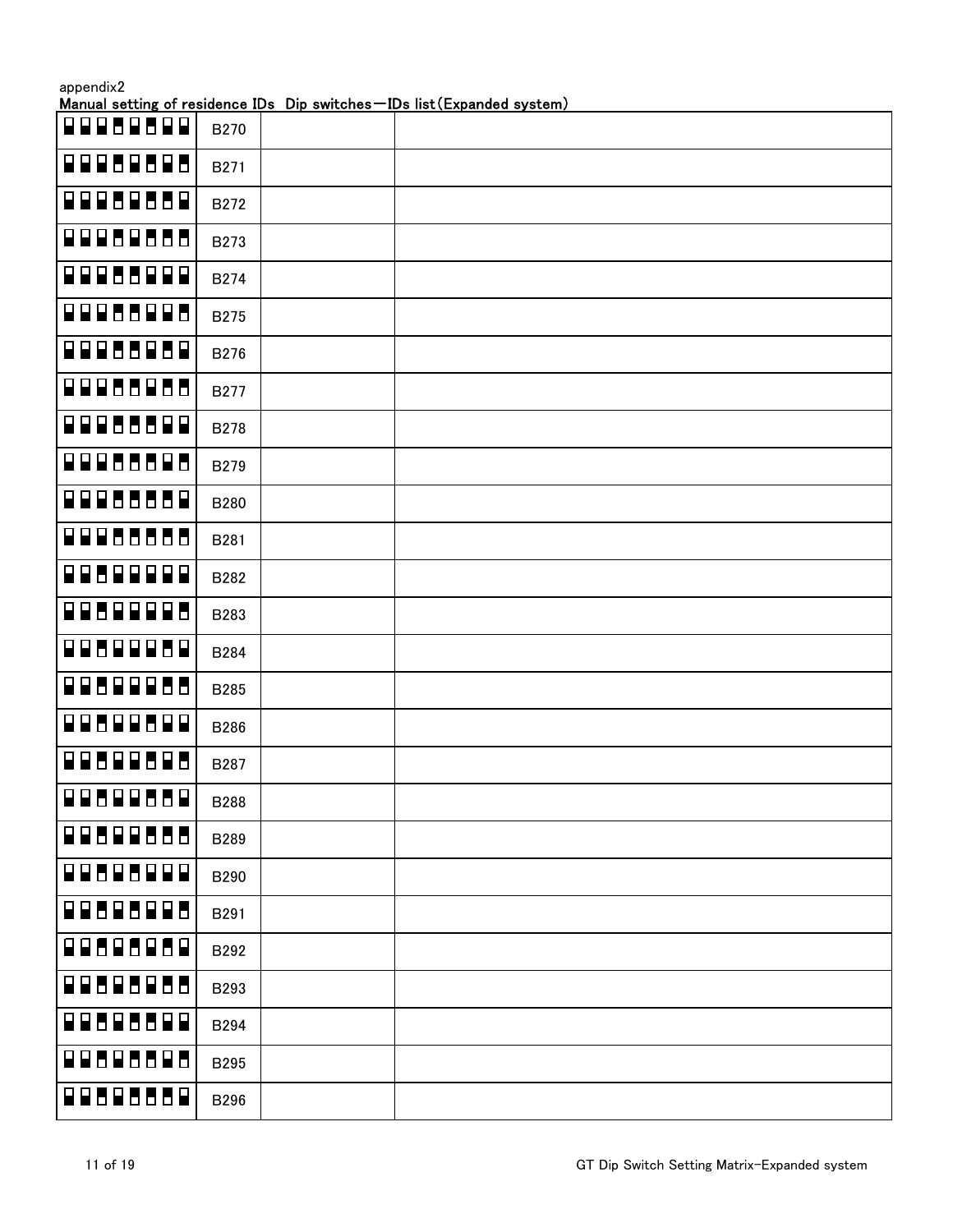| appendix2 |
|-----------|
|-----------|

| 8888888         |  |                          | <b>B270</b> |  |
|-----------------|--|--------------------------|-------------|--|
| 88888888        |  |                          | <b>B271</b> |  |
| <b>DOOBBBB</b>  |  | $\overline{\mathbf{r}}$  | <b>B272</b> |  |
| <b>QQQUQUUU</b> |  |                          | B273        |  |
| <b>BBBBBBB</b>  |  | $\blacksquare$           | <b>B274</b> |  |
| <b>DODBBDD</b>  |  | $\blacksquare$           | <b>B275</b> |  |
| <b>BBBBBBB</b>  |  | $\overline{\mathbf{H}}$  | <b>B276</b> |  |
| <b>QQQUUQUU</b> |  |                          | <b>B277</b> |  |
| <b>QQQUUUQ</b>  |  | $\overline{\mathbf{H}}$  | <b>B278</b> |  |
| <b>BBBBBBB</b>  |  | $\blacksquare$           | <b>B279</b> |  |
| <b>QQQUUUU</b>  |  | $\blacksquare$           | <b>B280</b> |  |
| <b>QQQ66666</b> |  |                          | B281        |  |
| 9959999         |  | $\mathbf \mathbf F$      | B282        |  |
| 8888888         |  | Ь                        | B283        |  |
| 8888888         |  | $\blacksquare$           | <b>B284</b> |  |
| <b>QQUQQQU</b>  |  | Ь                        | <b>B285</b> |  |
| <b>BRUBBB</b>   |  | $\blacksquare$           | <b>B286</b> |  |
| 8868868         |  | $\overline{\phantom{a}}$ | B287        |  |
| <b>QQ8QQ88Q</b> |  |                          | <b>B288</b> |  |
| <b>BRAGEANA</b> |  |                          | <b>B289</b> |  |
| 88888888        |  |                          | <b>B290</b> |  |
| 88585885        |  |                          | B291        |  |
| <b>BRUGHEDB</b> |  |                          | B292        |  |
| <b>BROBBERO</b> |  |                          | B293        |  |
| 88888888        |  |                          | B294        |  |
| <b>BBBBBBBB</b> |  |                          | <b>B295</b> |  |
| <b>BBBBBBBB</b> |  |                          | <b>B296</b> |  |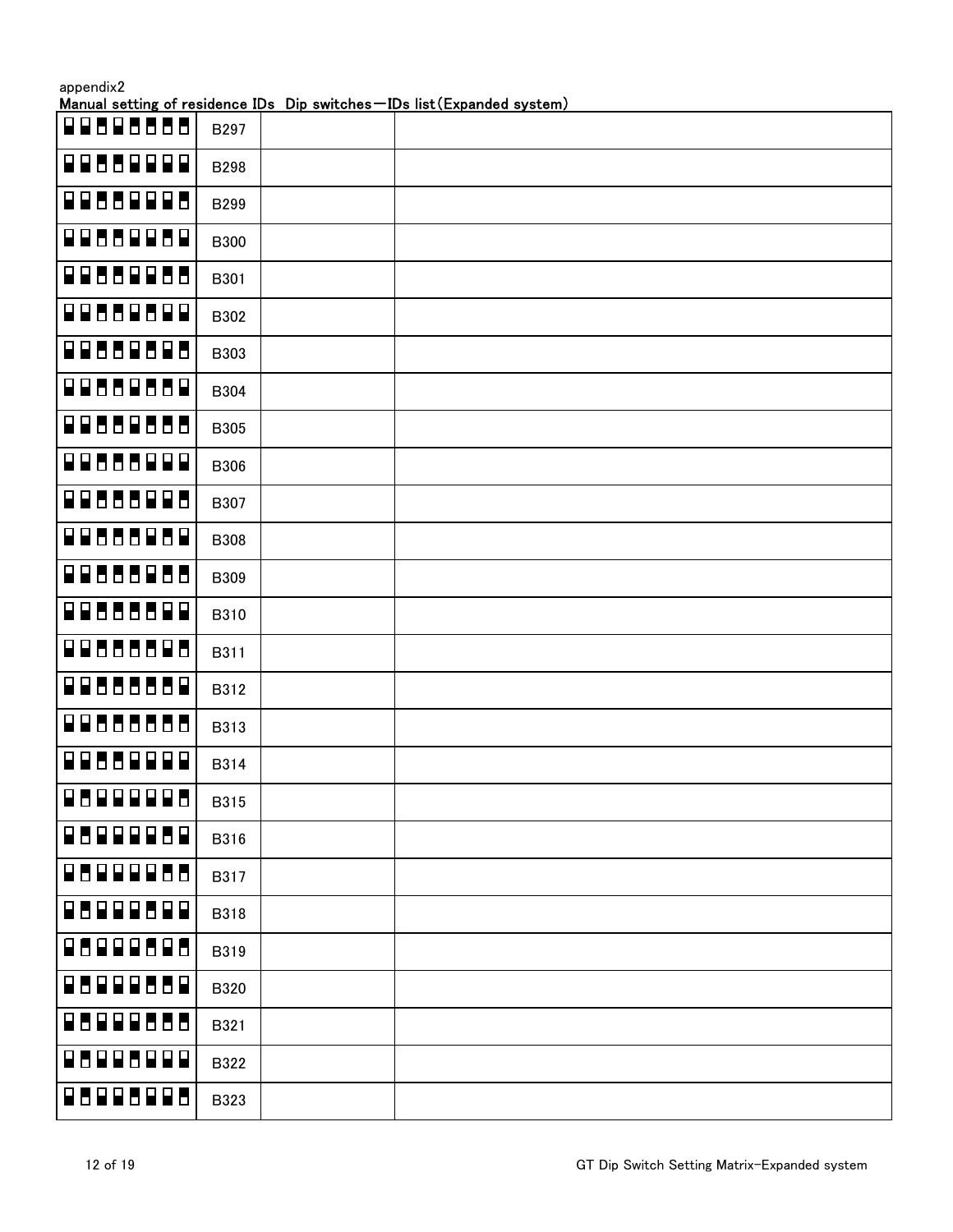|                                     |             | Manual setting of residence IDs Dip switches-IDs list (Expanded system) |
|-------------------------------------|-------------|-------------------------------------------------------------------------|
| $P$ $P$ $P$ $P$ $E$ $P$ $P$ $P$ $P$ | B297        |                                                                         |
| 8866888                             | <b>B298</b> |                                                                         |
| 8888888                             | B299        |                                                                         |
| <b>BO00BO00</b>                     | <b>B300</b> |                                                                         |
| 8888888                             | B301        |                                                                         |
| <b>BB88888</b>                      | B302        |                                                                         |
| 88888888                            | B303        |                                                                         |
| 88888888                            | B304        |                                                                         |
| 88888888                            | <b>B305</b> |                                                                         |
| 8888888                             | B306        |                                                                         |
| 88888888                            | B307        |                                                                         |
| 88888888                            | B308        |                                                                         |
| 88888888                            | B309        |                                                                         |
| 8888888                             | B310        |                                                                         |
| 88888888                            | B311        |                                                                         |
| 88888888                            | B312        |                                                                         |
| 88888888                            | B313        |                                                                         |
| 88668888                            | B314        |                                                                         |
| 8888888                             | <b>B315</b> |                                                                         |
| 8888888                             | B316        |                                                                         |
| 999955<br>80                        | B317        |                                                                         |
| 888588<br>8 F                       | <b>B318</b> |                                                                         |
| 888888<br>88                        | B319        |                                                                         |
| 888668<br>88                        | B320        |                                                                         |
| 88<br>888888                        | B321        |                                                                         |
| 885888<br>8 F                       | B322        |                                                                         |
| 8888888                             | B323        |                                                                         |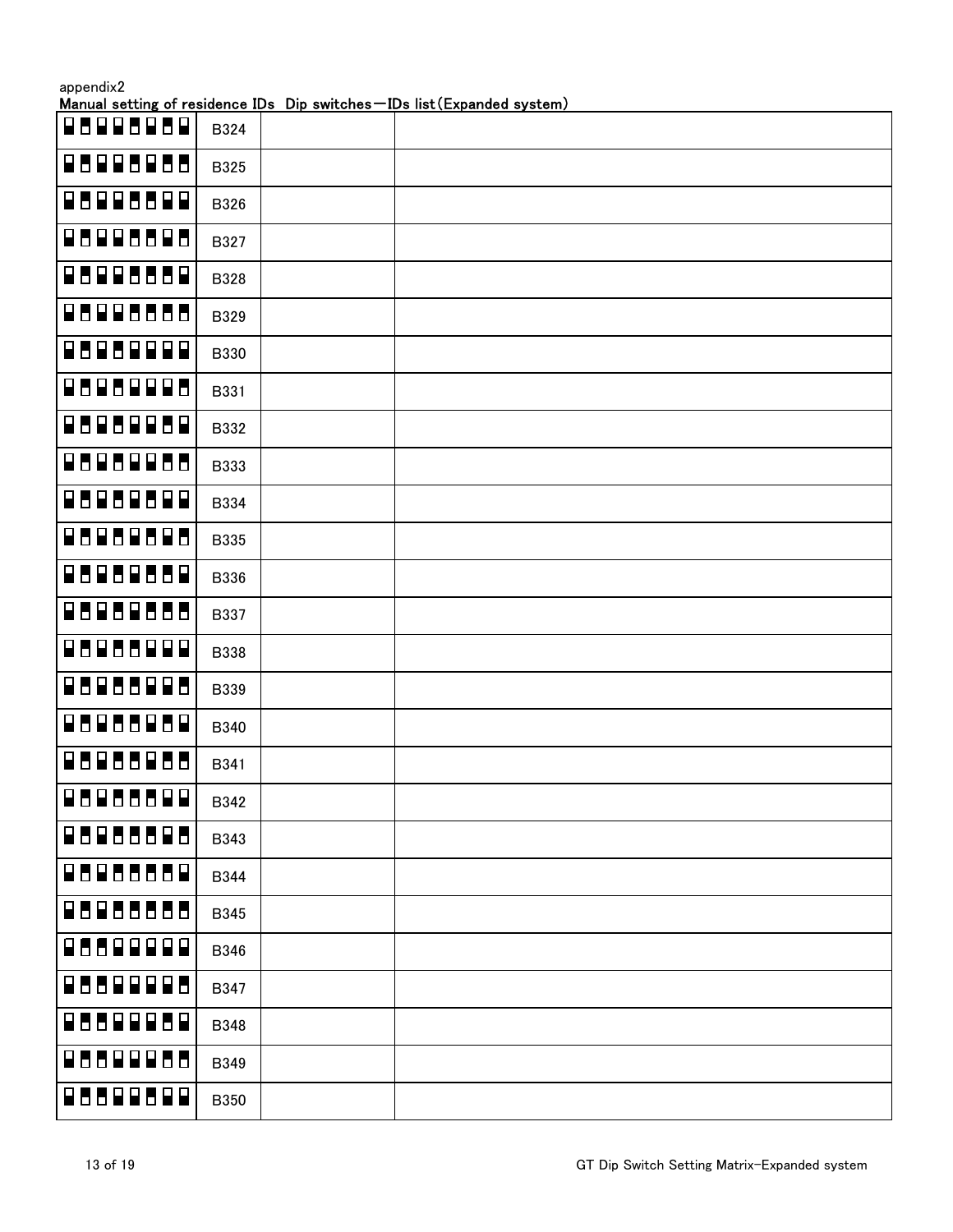|                                          |  |  | Manual setting of residence IDs Dip switches-IDs list (Expanded system) |  |  |  |  |  |  |  |  |  |  |  |
|------------------------------------------|--|--|-------------------------------------------------------------------------|--|--|--|--|--|--|--|--|--|--|--|
| <b>RUBBEER</b>                           |  |  | B324                                                                    |  |  |  |  |  |  |  |  |  |  |  |
| <b>BUBBBBUD</b>                          |  |  | B325                                                                    |  |  |  |  |  |  |  |  |  |  |  |
| $\begin{array}{c} 969966099 \end{array}$ |  |  | B326                                                                    |  |  |  |  |  |  |  |  |  |  |  |
| 88888888                                 |  |  | B327                                                                    |  |  |  |  |  |  |  |  |  |  |  |
| <b>BUBBUDB</b>                           |  |  | B328                                                                    |  |  |  |  |  |  |  |  |  |  |  |
| <b>BBBBBBBB</b>                          |  |  | B329                                                                    |  |  |  |  |  |  |  |  |  |  |  |
| 8888888                                  |  |  | B330                                                                    |  |  |  |  |  |  |  |  |  |  |  |
| 88888888                                 |  |  | B331                                                                    |  |  |  |  |  |  |  |  |  |  |  |
| 88888888                                 |  |  | B332                                                                    |  |  |  |  |  |  |  |  |  |  |  |
| <b>BBBBBBBB</b>                          |  |  | B333                                                                    |  |  |  |  |  |  |  |  |  |  |  |
| 88888888                                 |  |  | B334                                                                    |  |  |  |  |  |  |  |  |  |  |  |
| <b>BBBBBBBB</b>                          |  |  | <b>B335</b>                                                             |  |  |  |  |  |  |  |  |  |  |  |
| <b>ABAREBBA</b>                          |  |  | B336                                                                    |  |  |  |  |  |  |  |  |  |  |  |
| <b>BUBBBUUD</b>                          |  |  | B337                                                                    |  |  |  |  |  |  |  |  |  |  |  |
| 8888888                                  |  |  | B338                                                                    |  |  |  |  |  |  |  |  |  |  |  |
| <b>BBBBBBBB</b>                          |  |  | B339                                                                    |  |  |  |  |  |  |  |  |  |  |  |
| <b>BUBULEDE</b>                          |  |  | B340                                                                    |  |  |  |  |  |  |  |  |  |  |  |
| 88888888                                 |  |  | B341                                                                    |  |  |  |  |  |  |  |  |  |  |  |
|                                          |  |  | B342                                                                    |  |  |  |  |  |  |  |  |  |  |  |
| 88888888                                 |  |  | B343                                                                    |  |  |  |  |  |  |  |  |  |  |  |
| <b>ABABEBBA</b>                          |  |  | B344                                                                    |  |  |  |  |  |  |  |  |  |  |  |
| 88888888                                 |  |  | <b>B345</b>                                                             |  |  |  |  |  |  |  |  |  |  |  |
| 8888899                                  |  |  | B346                                                                    |  |  |  |  |  |  |  |  |  |  |  |
| 88898988                                 |  |  | B347                                                                    |  |  |  |  |  |  |  |  |  |  |  |
| 8888888                                  |  |  | B348                                                                    |  |  |  |  |  |  |  |  |  |  |  |
| 8888888                                  |  |  | B349                                                                    |  |  |  |  |  |  |  |  |  |  |  |
| 8888888                                  |  |  | <b>B350</b>                                                             |  |  |  |  |  |  |  |  |  |  |  |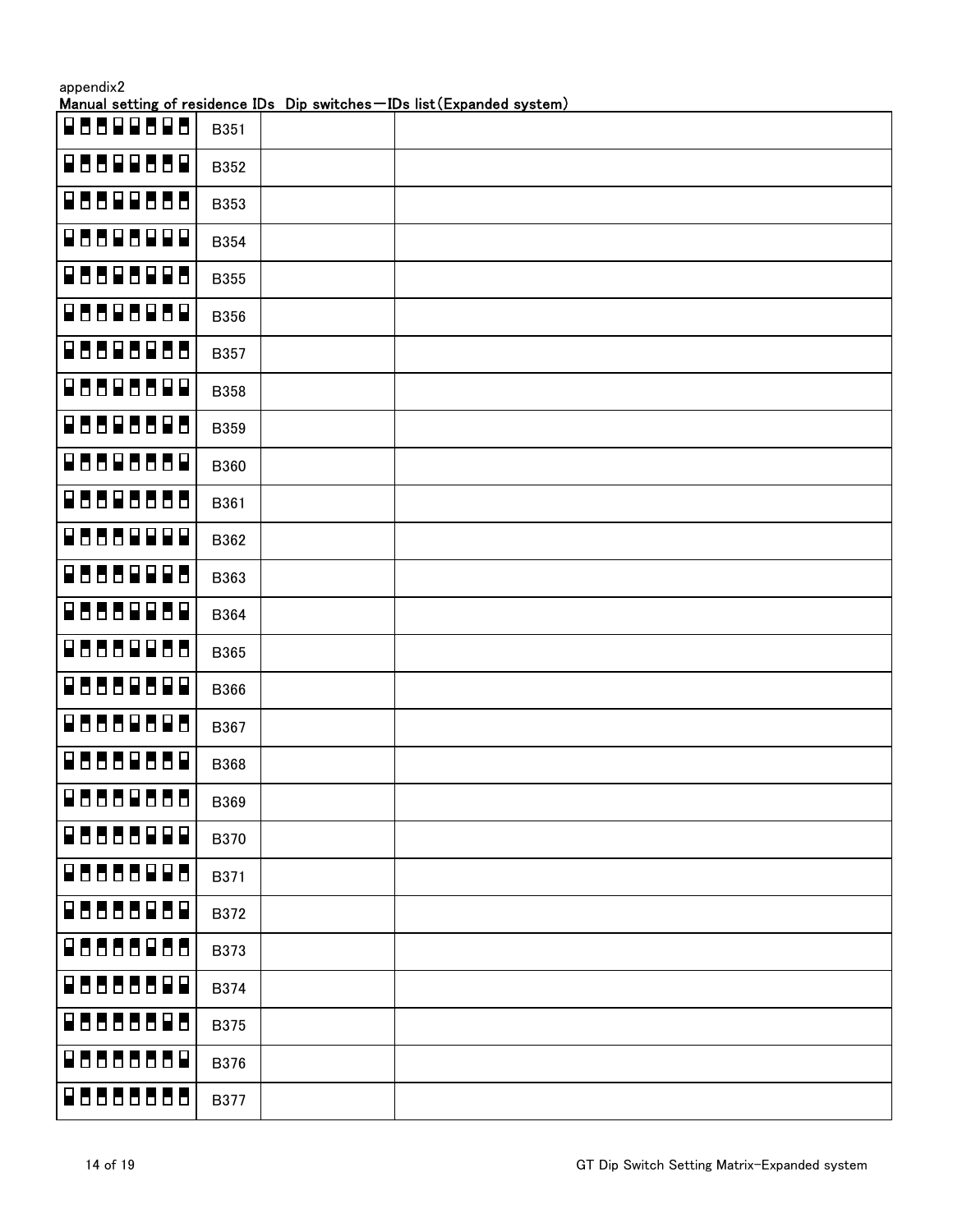|                 |             | <u>Manual setting of residence IDs Dip switches – IDs list (Expanded system)</u> |
|-----------------|-------------|----------------------------------------------------------------------------------|
| 8888888         | B351        |                                                                                  |
| <b>RUBBRUDB</b> | B352        |                                                                                  |
| RUUREUUU        | B353        |                                                                                  |
| 88886888        | <b>B354</b> |                                                                                  |
| 88886888        | <b>B355</b> |                                                                                  |
| <b>RUBBUDB</b>  | B356        |                                                                                  |
| 88886888        | B357        |                                                                                  |
| 8888688         | <b>B358</b> |                                                                                  |
| 88888888        | <b>B359</b> |                                                                                  |
| RUURUUD         | <b>B360</b> |                                                                                  |
| ROORDOO         | B361        |                                                                                  |
| 8888888         | B362        |                                                                                  |
| 88888888        | B363        |                                                                                  |
| 88888888        | B364        |                                                                                  |
| 88888888        | <b>B365</b> |                                                                                  |
| 88888888        | B366        |                                                                                  |
| RUUDRUGU        | B367        |                                                                                  |
| RUBBRUDR        | <b>B368</b> |                                                                                  |
| 8888888H        | B369        |                                                                                  |
| 8888888         | <b>B370</b> |                                                                                  |
| 88888888        | B371        |                                                                                  |
| 88888888        | B372        |                                                                                  |
| 88888888        | B373        |                                                                                  |
| 88888888        | B374        |                                                                                  |
| RABARAA         | <b>B375</b> |                                                                                  |
| RBBBBBBR        | B376        |                                                                                  |
| 8888888         | <b>B377</b> |                                                                                  |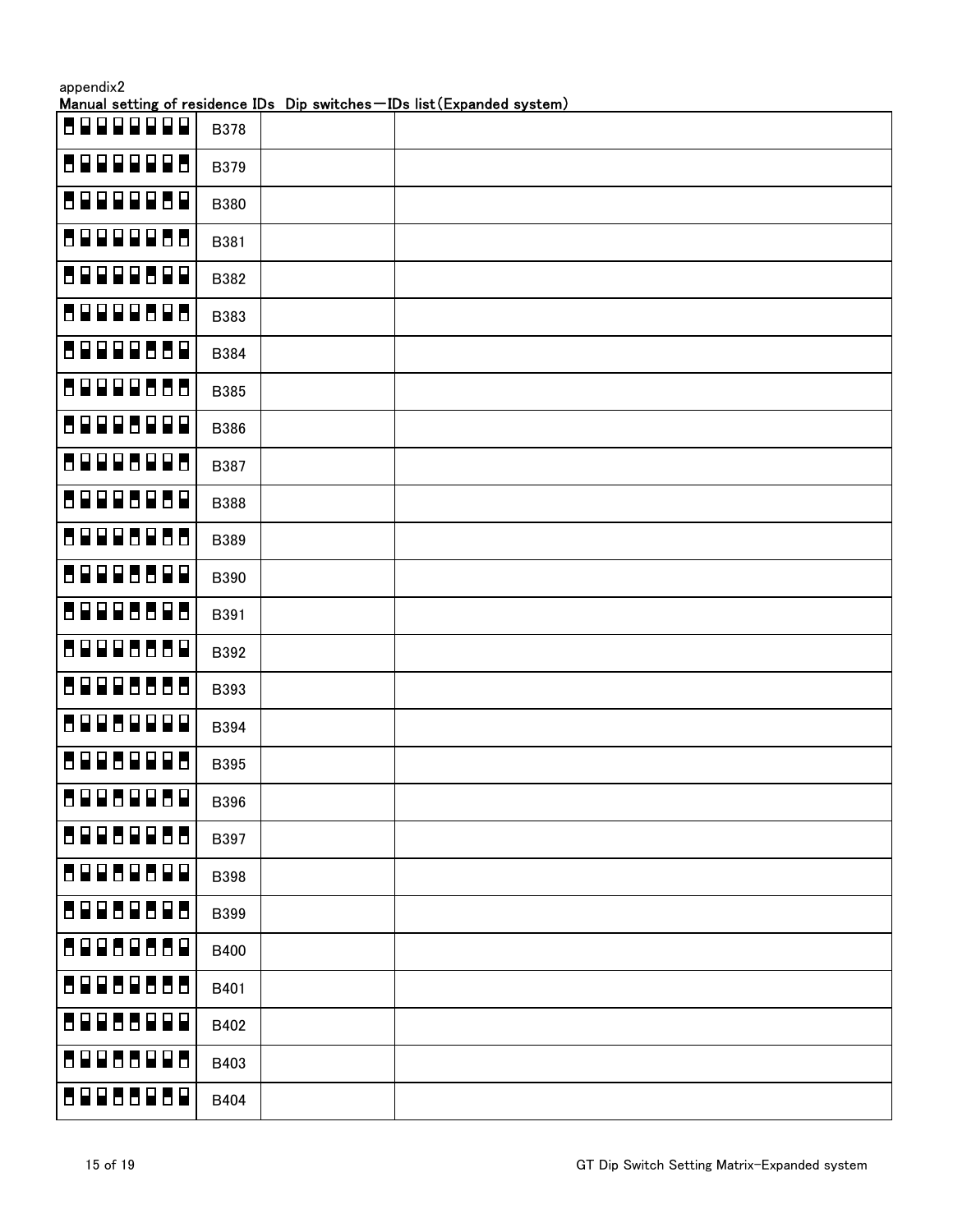| appendix2 |
|-----------|
|-----------|

| 5999999           | <b>B378</b> |  |
|-------------------|-------------|--|
| 8999998           | B379        |  |
| 80000080          | <b>B380</b> |  |
| 89999888          | B381        |  |
| 89999899          | B382        |  |
| 89999898          | B383        |  |
| 89999889          | B384        |  |
| 89999888          | <b>B385</b> |  |
| 59995999          | <b>B386</b> |  |
| 89998998          | B387        |  |
| 89998989          | <b>B388</b> |  |
| 89998988          | B389        |  |
| 89998899          | B390        |  |
| 89998898          | B391        |  |
| 89998889          | B392        |  |
| 89998888          | B393        |  |
| 8998999<br>Ρ      | B394        |  |
| 5995999<br>$\Box$ | <b>B395</b> |  |
| 89989889          | <b>B396</b> |  |
| 69988988          | B397        |  |
| 89989899          | <b>B398</b> |  |
| 59959595          | B399        |  |
| 89988889          | <b>B400</b> |  |
| 89988888          | B401        |  |
| 59955999          | B402        |  |
| 89988998          | B403        |  |
| 59955959          | B404        |  |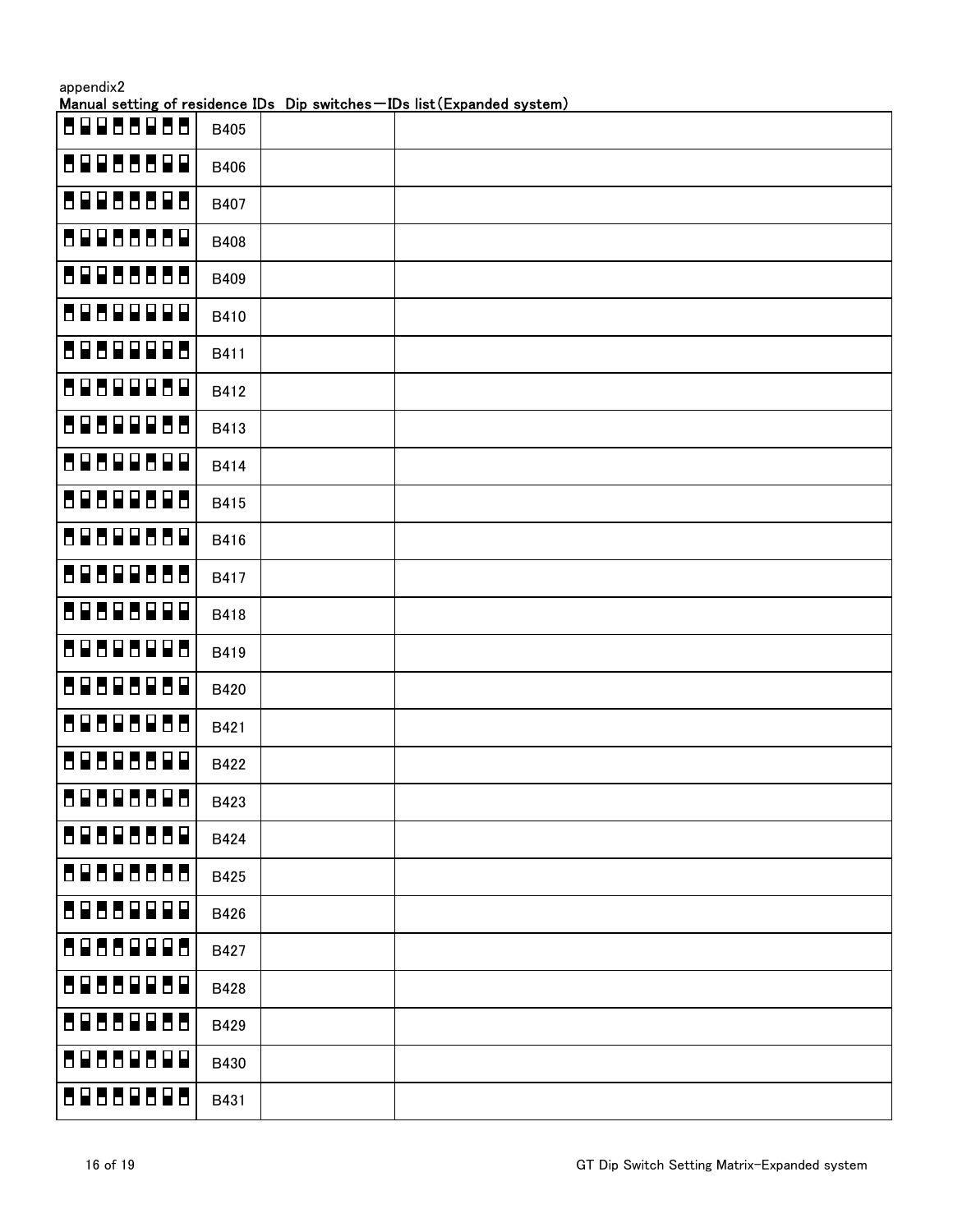| appendix2 |  |
|-----------|--|
|-----------|--|

| 88888888 | B405 |  |
|----------|------|--|
| 80088800 | B406 |  |
| 88888888 | B407 |  |
| 88888888 | B408 |  |
| 89988888 | B409 |  |
| 88888888 | B410 |  |
| 80800008 | B411 |  |
| 80800080 | B412 |  |
| 89899988 | B413 |  |
| 80800880 | B414 |  |
| 89899898 | B415 |  |
| 80800888 | B416 |  |
| 88888888 | B417 |  |
| 88888888 | B418 |  |
| 80808008 | B419 |  |
| 89898989 | B420 |  |
| 80808088 | B421 |  |
| 89898899 | B422 |  |
| 80808800 | B423 |  |
| 89898889 | B424 |  |
| 89898888 | B425 |  |
| 8988999  | B426 |  |
| 8988998  | B427 |  |
| 89889889 | B428 |  |
| 88888888 | B429 |  |
| 89889899 | B430 |  |
| 89888898 | B431 |  |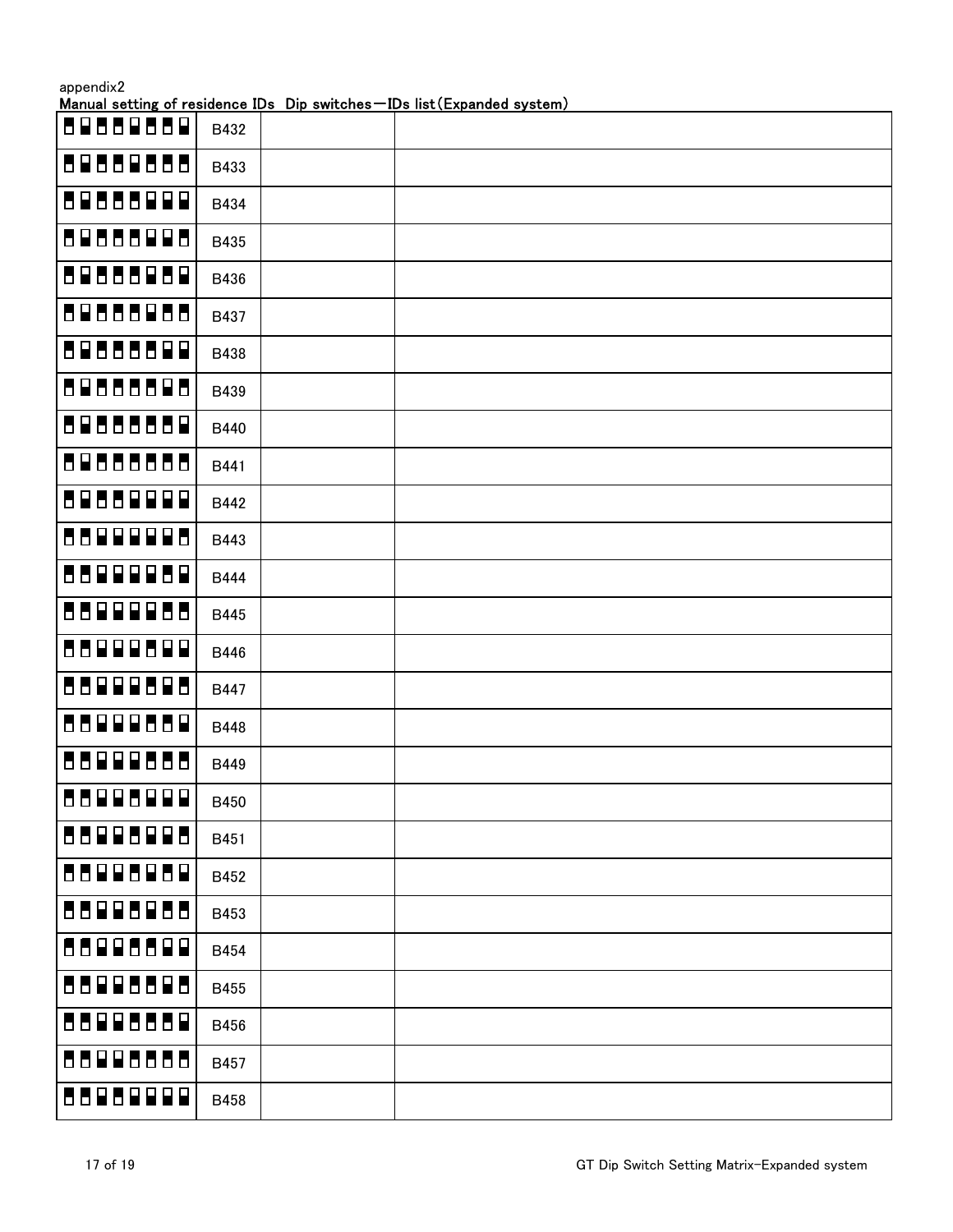| appendix2 |  |
|-----------|--|
|-----------|--|

| 89888889                           | B432        |  |
|------------------------------------|-------------|--|
| 89888888                           | B433        |  |
| 80888000                           | B434        |  |
| 89888998                           | B435        |  |
| 89888989                           | B436        |  |
| 89888988                           | B437        |  |
| 89888899                           | B438        |  |
| 89888898                           | B439        |  |
| 8988888<br>$\overline{\mathbf{r}}$ | B440        |  |
| 89888888                           | B441        |  |
| 8988999<br>$\blacksquare$          | B442        |  |
| 8899998                            | B443        |  |
| 5599995<br>$\blacksquare$          | <b>B444</b> |  |
| 5599995<br>Ы                       | B445        |  |
| 5599959<br>$\blacksquare$          | B446        |  |
| 8899989<br>Ь                       | B447        |  |
| 5599955<br>$\blacksquare$          | B448        |  |
| 5599955<br>Ь                       | B449        |  |
| 55995999                           | B450        |  |
| 55995995                           | B451        |  |
| 88998989                           | B452        |  |
| 88998988                           | B453        |  |
| 88998899                           | B454        |  |
| 55995595                           | B455        |  |
| 88888888                           | B456        |  |
| 88998888                           | B457        |  |
| 5595999                            | B458        |  |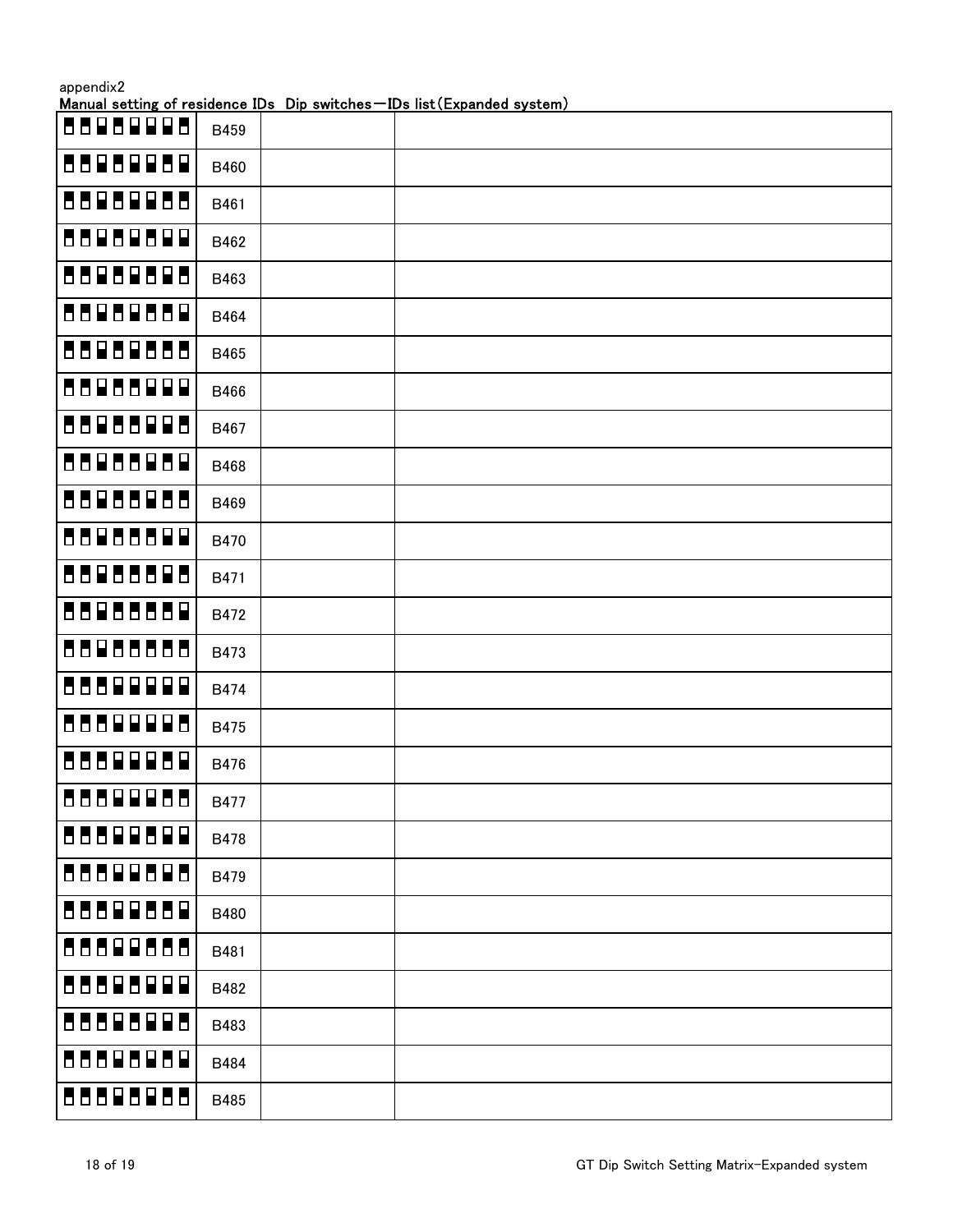| appendix2 |  |
|-----------|--|
|-----------|--|

| 8898998                   | B459        |  |
|---------------------------|-------------|--|
| 5595959                   | B460        |  |
| 8898988                   | B461        |  |
| 55959599                  | B462        |  |
| 55959595                  | B463        |  |
| 55959559                  | B464        |  |
| 55959555                  | B465        |  |
| 55955999                  | B466        |  |
| 88986998                  | B467        |  |
| 55955959                  | B468        |  |
| 88986988                  | B469        |  |
| 55955599                  | B470        |  |
| 55955595                  | B471        |  |
| 88988889                  | B472        |  |
| 88988888                  | B473        |  |
| 55599999                  | <b>B474</b> |  |
| 8889998                   | B475        |  |
| 5559995<br>$\blacksquare$ | B476        |  |
| 8889988                   | <b>B477</b> |  |
| 88899899                  | <b>B478</b> |  |
| 55599595                  | B479        |  |
| 55592559                  | B480        |  |
| 55599555                  | B481        |  |
| 55595999                  | B482        |  |
| 88898988                  | B483        |  |
| 88888888                  | B484        |  |
| 88888888                  | B485        |  |